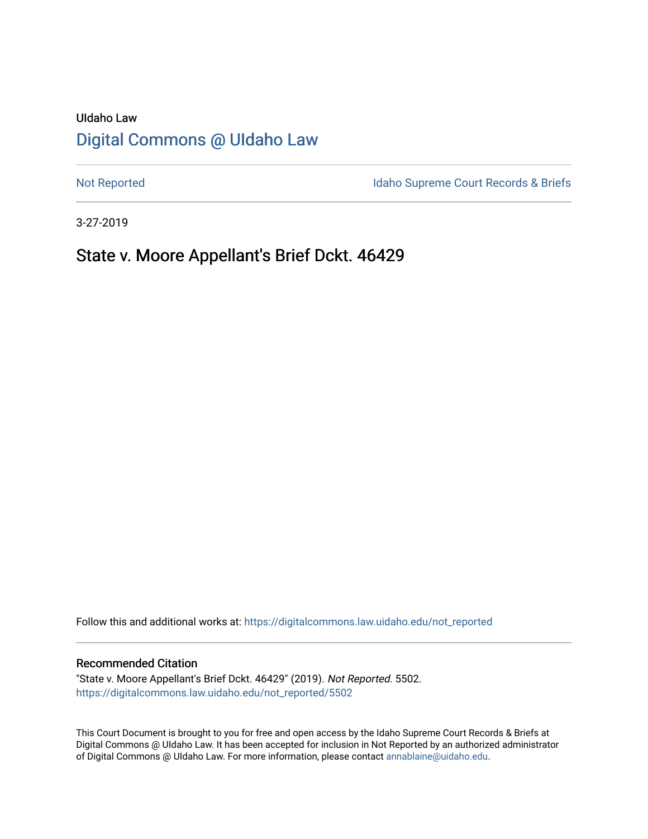# UIdaho Law [Digital Commons @ UIdaho Law](https://digitalcommons.law.uidaho.edu/)

[Not Reported](https://digitalcommons.law.uidaho.edu/not_reported) **Idaho Supreme Court Records & Briefs** 

3-27-2019

# State v. Moore Appellant's Brief Dckt. 46429

Follow this and additional works at: [https://digitalcommons.law.uidaho.edu/not\\_reported](https://digitalcommons.law.uidaho.edu/not_reported?utm_source=digitalcommons.law.uidaho.edu%2Fnot_reported%2F5502&utm_medium=PDF&utm_campaign=PDFCoverPages) 

#### Recommended Citation

"State v. Moore Appellant's Brief Dckt. 46429" (2019). Not Reported. 5502. [https://digitalcommons.law.uidaho.edu/not\\_reported/5502](https://digitalcommons.law.uidaho.edu/not_reported/5502?utm_source=digitalcommons.law.uidaho.edu%2Fnot_reported%2F5502&utm_medium=PDF&utm_campaign=PDFCoverPages)

This Court Document is brought to you for free and open access by the Idaho Supreme Court Records & Briefs at Digital Commons @ UIdaho Law. It has been accepted for inclusion in Not Reported by an authorized administrator of Digital Commons @ UIdaho Law. For more information, please contact [annablaine@uidaho.edu](mailto:annablaine@uidaho.edu).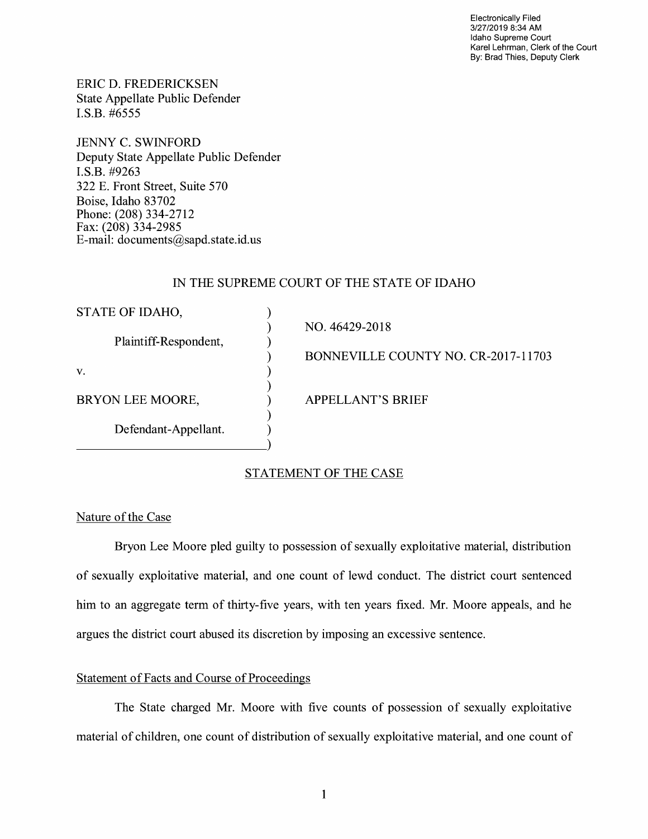Electronically Filed 3/27/2019 8:34 **AM**  Idaho Supreme Court Karel Lehrman, Clerk of the Court By: Brad Thies, Deputy Clerk

ERIC D. FREDERICKSEN State Appellate Public Defender I.S.B. #6555

JENNY C. SWINFORD Deputy State Appellate Public Defender **I.S.B.** #9263 322 E. Front Street, Suite 570 Boise, Idaho 83702 Phone: (208) 334-2712 Fax: (208) 334-2985 E-mail: documents@sapd.state.id. us

## IN THE SUPREME COURT OF THE STATE OF IDAHO

|                                     | STATE OF IDAHO,                          |
|-------------------------------------|------------------------------------------|
| NO. 46429-2018                      |                                          |
|                                     | Plaintiff-Respondent,                    |
| BONNEVILLE COUNTY NO. CR-2017-11703 |                                          |
|                                     | V.                                       |
|                                     |                                          |
|                                     |                                          |
|                                     |                                          |
|                                     |                                          |
|                                     |                                          |
| <b>APPELLANT'S BRIEF</b>            | BRYON LEE MOORE,<br>Defendant-Appellant. |

# STATEMENT OF THE CASE

#### Nature of the Case

Bryon Lee Moore pled guilty to possession of sexually exploitative material, distribution of sexually exploitative material, and one count of lewd conduct. The district court sentenced him to an aggregate term of thirty-five years, with ten years fixed. Mr. Moore appeals, and he argues the district court abused its discretion by imposing an excessive sentence.

#### Statement of Facts and Course of Proceedings

The State charged Mr. Moore with five counts of possession of sexually exploitative material of children, one count of distribution of sexually exploitative material, and one count of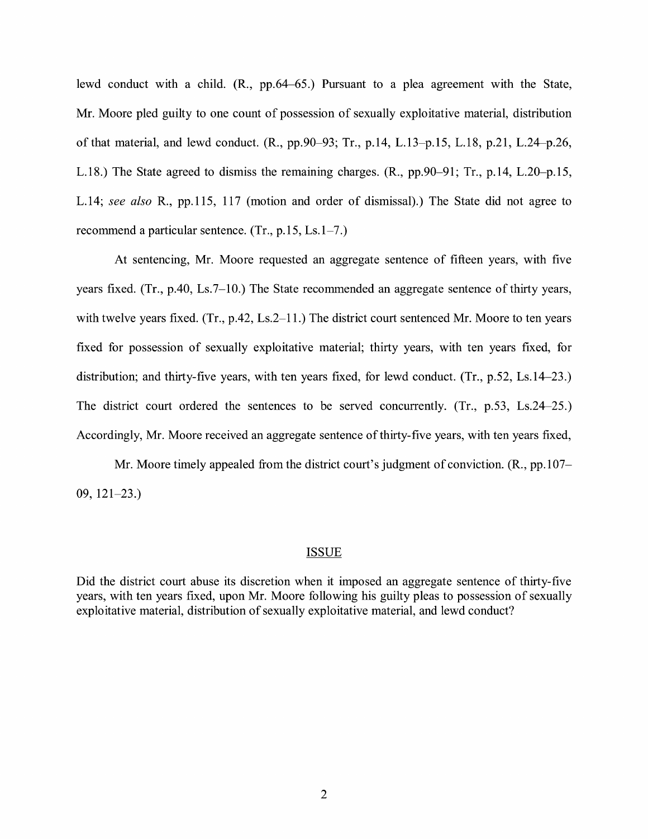lewd conduct with a child. (R., pp.64-65.) Pursuant to a plea agreement with the State, Mr. Moore pied guilty to one count of possession of sexually exploitative material, distribution of that material, and lewd conduct. (R., pp.90-93; Tr., p.14, L.13-p.15, L.18, p.21, L.24-p.26, L.18.) The State agreed to dismiss the remaining charges. (R., pp.90-91; Tr., p.14, L.20-p.15, L.14; *see also* R., pp.115, 117 (motion and order of dismissal).) The State did not agree to recommend a particular sentence. (Tr., p.15, Ls.1-7.)

At sentencing, Mr. Moore requested an aggregate sentence of fifteen years, with five years fixed. (Tr., p.40, Ls.7-10.) The State recommended an aggregate sentence of thirty years, with twelve years fixed. (Tr., p.42, Ls.2–11.) The district court sentenced Mr. Moore to ten years fixed for possession of sexually exploitative material; thirty years, with ten years fixed, for distribution; and thirty-five years, with ten years fixed, for lewd conduct. (Tr., p.52, Ls.14–23.) The district court ordered the sentences to be served concurrently. (Tr., p.53, Ls.24-25.) Accordingly, Mr. Moore received an aggregate sentence of thirty-five years, with ten years fixed,

Mr. Moore timely appealed from the district court's judgment of conviction. (R., pp.107– 09, 121-23.)

#### ISSUE

Did the district court abuse its discretion when it imposed an aggregate sentence of thirty-five years, with ten years fixed, upon Mr. Moore following his guilty pleas to possession of sexually exploitative material, distribution of sexually exploitative material, and lewd conduct?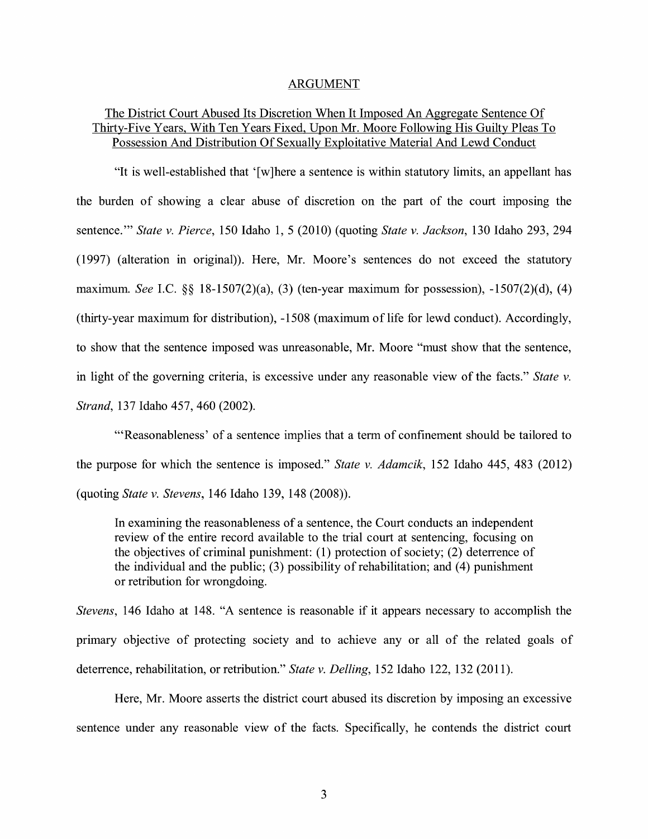#### ARGUMENT

## The District Court Abused Its Discretion When It Imposed An Aggregate Sentence Of Thirty-Five Years, With Ten Years Fixed, Upon Mr. Moore Following His Guilty Pleas To Possession And Distribution Of Sexually Exploitative Material And Lewd Conduct

"It is well-established that ' [ w ]here a sentence is within statutory limits, an appellant has the burden of showing a clear abuse of discretion on the part of the court imposing the sentence."' *State v. Pierce,* 150 Idaho 1, 5 (2010) (quoting *State v. Jackson,* 130 Idaho 293, 294 (1997) (alteration in original)). Here, Mr. Moore's sentences do not exceed the statutory maximum. *See* I.C. §§ 18-1507(2)(a), (3) (ten-year maximum for possession), -1507(2)(d), (4) (thirty-year maximum for distribution), -1508 (maximum of life for lewd conduct). Accordingly, to show that the sentence imposed was unreasonable, Mr. Moore "must show that the sentence, in light of the governing criteria, is excessive under any reasonable view of the facts." *State v. Strand,* 137 Idaho 457, 460 (2002).

"'Reasonableness' of a sentence implies that a term of confinement should be tailored to the purpose for which the sentence is imposed." *State v. Adamcik,* 152 Idaho 445, 483 (2012) (quoting *State v. Stevens,* 146 Idaho 139, 148 (2008)).

In examining the reasonableness of a sentence, the Court conducts an independent review of the entire record available to the trial court at sentencing, focusing on the objectives of criminal punishment: (1) protection of society; (2) deterrence of the individual and the public;  $(3)$  possibility of rehabilitation; and  $(4)$  punishment or retribution for wrongdoing.

*Stevens,* 146 Idaho at 148. "A sentence is reasonable if it appears necessary to accomplish the primary objective of protecting society and to achieve any or all of the related goals of deterrence, rehabilitation, or retribution." *State v. Delling,* 152 Idaho 122, 132 (2011).

Here, Mr. Moore asserts the district court abused its discretion by imposing an excessive sentence under any reasonable view of the facts. Specifically, he contends the district court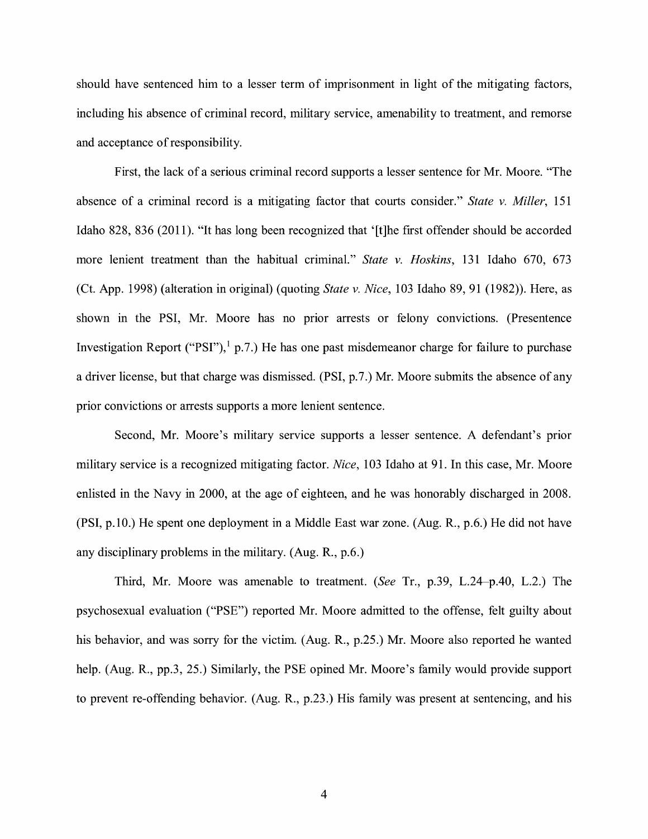should have sentenced him to a lesser term of imprisonment in light of the mitigating factors, including his absence of criminal record, military service, amenability to treatment, and remorse and acceptance of responsibility.

First, the lack of a serious criminal record supports a lesser sentence for Mr. Moore. "The absence of a criminal record is a mitigating factor that courts consider." *State v. Miller,* 151 Idaho 828, 836 (2011 ). "It has long been recognized that '[t ]he first offender should be accorded more lenient treatment than the habitual criminal." *State v. Hoskins,* 131 Idaho 670, 673 (Ct. App. 1998) (alteration in original) (quoting *State v. Nice,* 103 Idaho 89, 91 (1982)). Here, as shown in the PSI, Mr. Moore has no prior arrests or felony convictions. (Presentence Investigation Report ("PSI"),  $\frac{1}{1}$  p.7.) He has one past misdemeanor charge for failure to purchase a driver license, but that charge was dismissed. (PSI, p.7.) Mr. Moore submits the absence of any prior convictions or arrests supports a more lenient sentence.

Second, Mr. Moore's military service supports a lesser sentence. A defendant's prior military service is a recognized mitigating factor. *Nice,* 103 Idaho at 91. In this case, Mr. Moore enlisted in the Navy in 2000, at the age of eighteen, and he was honorably discharged in 2008. (PSI, p.10.) He spent one deployment in a Middle East war zone. (Aug. R., p.6.) He did not have any disciplinary problems in the military. (Aug. R., p.6.)

Third, Mr. Moore was amenable to treatment. *(See* Tr., p.39, L.24-p.40, L.2.) The psychosexual evaluation ("PSE") reported Mr. Moore admitted to the offense, felt guilty about his behavior, and was sorry for the victim. (Aug. R., p.25.) Mr. Moore also reported he wanted help. (Aug. R., pp.3, 25.) Similarly, the PSE opined Mr. Moore's family would provide support to prevent re-offending behavior. (Aug. R., p.23.) His family was present at sentencing, and his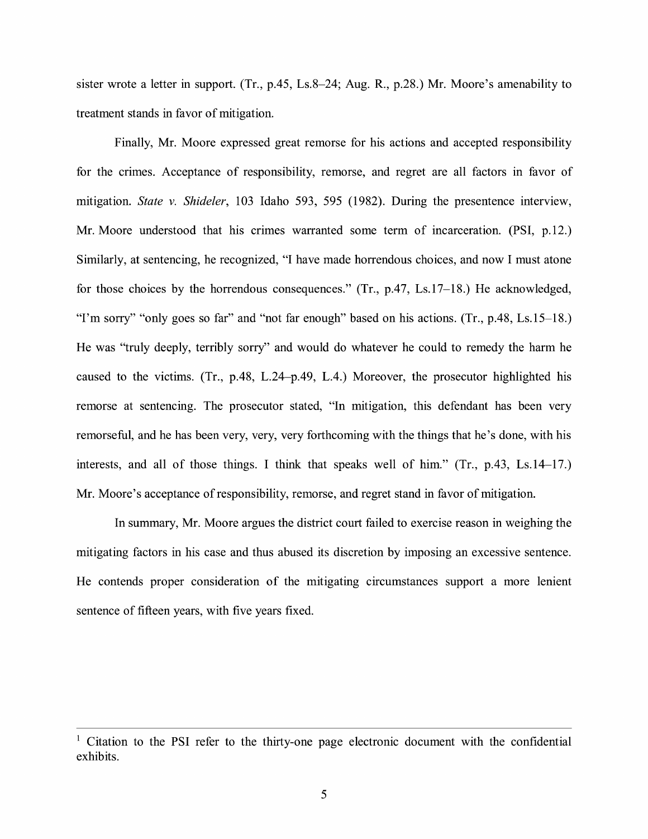sister wrote a letter in support. (Tr., p.45, Ls.8-24; Aug. R., p.28.) Mr. Moore's amenability to treatment stands in favor of mitigation.

Finally, Mr. Moore expressed great remorse for his actions and accepted responsibility for the crimes. Acceptance of responsibility, remorse, and regret are all factors in favor of mitigation. *State v. Shideler,* 103 Idaho 593, 595 (1982). During the presentence interview, Mr. Moore understood that his crimes warranted some term of incarceration. (PSI, p.12.) Similarly, at sentencing, he recognized, "I have made horrendous choices, and now I must atone for those choices by the horrendous consequences." (Tr., p.47, Ls.17-18.) He acknowledged, "I'm sorry" "only goes so far" and "not far enough" based on his actions. (Tr., p.48, Ls.15-18.) He was "truly deeply, terribly sorry" and would do whatever he could to remedy the harm he caused to the victims. (Tr., p.48, L.24-p.49, L.4.) Moreover, the prosecutor highlighted his remorse at sentencing. The prosecutor stated, "In mitigation, this defendant has been very remorseful, and he has been very, very, very forthcoming with the things that he's done, with his interests, and all of those things. I think that speaks well of him." (Tr., p.43, Ls.14-17.) Mr. Moore's acceptance of responsibility, remorse, and regret stand in favor of mitigation.

In summary, Mr. Moore argues the district court failed to exercise reason in weighing the mitigating factors in his case and thus abused its discretion by imposing an excessive sentence. He contends proper consideration of the mitigating circumstances support a more lenient sentence of fifteen years, with five years fixed.

<sup>&</sup>lt;sup>1</sup> Citation to the PSI refer to the thirty-one page electronic document with the confidential exhibits.